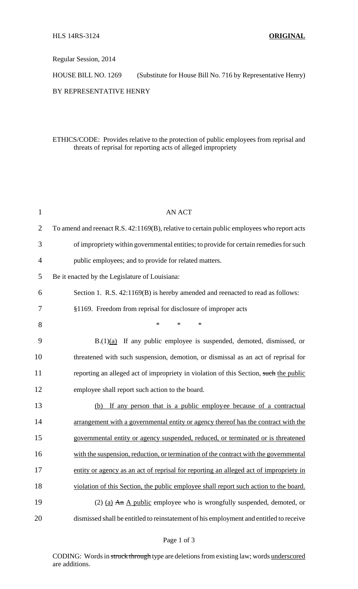Regular Session, 2014

HOUSE BILL NO. 1269 (Substitute for House Bill No. 716 by Representative Henry)

# BY REPRESENTATIVE HENRY

# ETHICS/CODE: Provides relative to the protection of public employees from reprisal and threats of reprisal for reporting acts of alleged impropriety

| $\mathbf{1}$   | <b>AN ACT</b>                                                                              |
|----------------|--------------------------------------------------------------------------------------------|
| 2              | To amend and reenact R.S. 42:1169(B), relative to certain public employees who report acts |
| 3              | of impropriety within governmental entities; to provide for certain remedies for such      |
| $\overline{4}$ | public employees; and to provide for related matters.                                      |
| 5              | Be it enacted by the Legislature of Louisiana:                                             |
| 6              | Section 1. R.S. 42:1169(B) is hereby amended and reenacted to read as follows:             |
| 7              | §1169. Freedom from reprisal for disclosure of improper acts                               |
| 8              | $\ast$<br>$\ast$<br>$\ast$                                                                 |
| 9              | $B(1)(a)$ If any public employee is suspended, demoted, dismissed, or                      |
| 10             | threatened with such suspension, demotion, or dismissal as an act of reprisal for          |
| 11             | reporting an alleged act of impropriety in violation of this Section, such the public      |
| 12             | employee shall report such action to the board.                                            |
| 13             | If any person that is a public employee because of a contractual<br>(b)                    |
| 14             | arrangement with a governmental entity or agency thereof has the contract with the         |
| 15             | governmental entity or agency suspended, reduced, or terminated or is threatened           |
| 16             | with the suspension, reduction, or termination of the contract with the governmental       |
| 17             | entity or agency as an act of reprisal for reporting an alleged act of impropriety in      |
| 18             | violation of this Section, the public employee shall report such action to the board.      |
| 19             | (2) (a) $\overline{An}$ A public employee who is wrongfully suspended, demoted, or         |
| 20             | dismissed shall be entitled to reinstatement of his employment and entitled to receive     |
|                |                                                                                            |

CODING: Words in struck through type are deletions from existing law; words underscored are additions.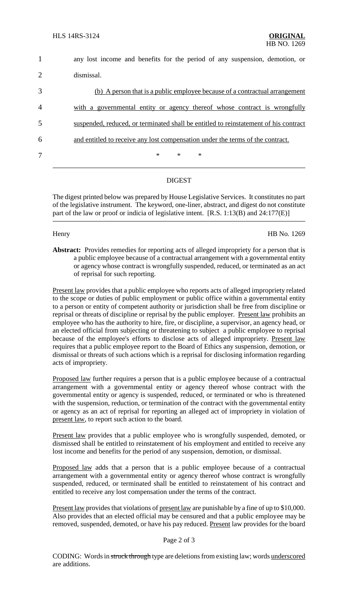| $\mathbf{1}$ | any lost income and benefits for the period of any suspension, demotion, or          |
|--------------|--------------------------------------------------------------------------------------|
| 2            | dismissal.                                                                           |
| 3            | (b) A person that is a public employee because of a contractual arrangement          |
| 4            | with a governmental entity or agency thereof whose contract is wrongfully            |
| 5            | suspended, reduced, or terminated shall be entitled to reinstatement of his contract |
| 6            | and entitled to receive any lost compensation under the terms of the contract.       |
| 7            | $\ast$<br>$\ast$<br>$\ast$                                                           |
|              |                                                                                      |

# DIGEST

The digest printed below was prepared by House Legislative Services. It constitutes no part of the legislative instrument. The keyword, one-liner, abstract, and digest do not constitute part of the law or proof or indicia of legislative intent. [R.S. 1:13(B) and 24:177(E)]

Henry HB No. 1269

**Abstract:** Provides remedies for reporting acts of alleged impropriety for a person that is a public employee because of a contractual arrangement with a governmental entity or agency whose contract is wrongfully suspended, reduced, or terminated as an act of reprisal for such reporting.

Present law provides that a public employee who reports acts of alleged impropriety related to the scope or duties of public employment or public office within a governmental entity to a person or entity of competent authority or jurisdiction shall be free from discipline or reprisal or threats of discipline or reprisal by the public employer. Present law prohibits an employee who has the authority to hire, fire, or discipline, a supervisor, an agency head, or an elected official from subjecting or threatening to subject a public employee to reprisal because of the employee's efforts to disclose acts of alleged impropriety. Present law requires that a public employee report to the Board of Ethics any suspension, demotion, or dismissal or threats of such actions which is a reprisal for disclosing information regarding acts of impropriety.

Proposed law further requires a person that is a public employee because of a contractual arrangement with a governmental entity or agency thereof whose contract with the governmental entity or agency is suspended, reduced, or terminated or who is threatened with the suspension, reduction, or termination of the contract with the governmental entity or agency as an act of reprisal for reporting an alleged act of impropriety in violation of present law, to report such action to the board.

Present law provides that a public employee who is wrongfully suspended, demoted, or dismissed shall be entitled to reinstatement of his employment and entitled to receive any lost income and benefits for the period of any suspension, demotion, or dismissal.

Proposed law adds that a person that is a public employee because of a contractual arrangement with a governmental entity or agency thereof whose contract is wrongfully suspended, reduced, or terminated shall be entitled to reinstatement of his contract and entitled to receive any lost compensation under the terms of the contract.

Present law provides that violations of present law are punishable by a fine of up to \$10,000. Also provides that an elected official may be censured and that a public employee may be removed, suspended, demoted, or have his pay reduced. Present law provides for the board

### Page 2 of 3